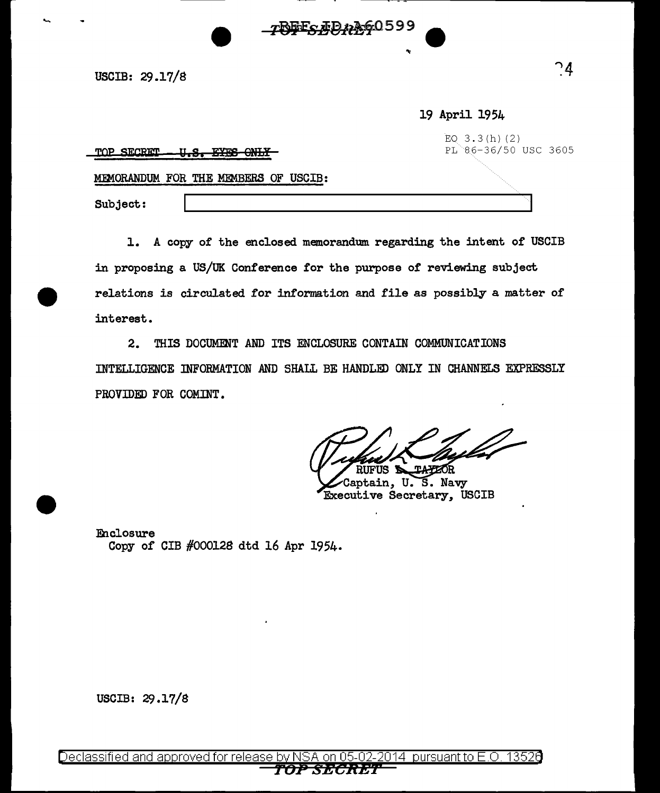USCIB: 29.17/8

19 April 1954

| -U.S. EYES ONLY<br>TOP SECRET<br><u>. II.Q.</u> | EQ $3.3(h)(2)$<br>PL 86-36/50 USC 3605 |
|-------------------------------------------------|----------------------------------------|
| MEMORANDUM FOR THE MEMBERS OF USCIB:            |                                        |
| Subject:                                        |                                        |

**TOFES AD AG0599** 

1. A copy of the enclosed memorandum regarding the intent of USCIB in proposing a US/UK Conference for the purpose of reviewing subject relations is circulated for information and file as possibly a matter of interest.

 $2.$ THIS DOCUMENT AND ITS ENCLOSURE CONTAIN COMMUNICATIONS INTELLIGENCE INFORMATION AND SHALL BE HANDLED ONLY IN CHANNELS EXPRESSLY PROVIDED FOR COMINT.

**UFUS S TAYZOR** Captain, U.S. Navy

**Executive Secretary, USCIB** 

Enclosure Copy of CIB #000128 dtd 16 Apr 1954.

USCIB: 29.17/8